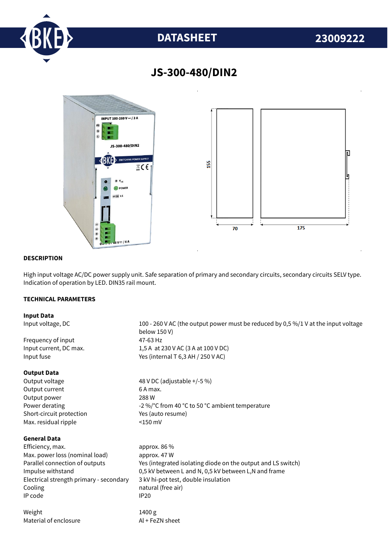

# **DATASHEET 23009222**



# **JS-300-480/DIN2**

### **DESCRIPTION**

High input voltage AC/DC power supply unit. Safe separation of primary and secondary circuits, secondary circuits SELV type. Indication of operation by LED. DIN35 rail mount.

## **TECHNICAL PARAMETERS**

#### **Input Data**

Input voltage, DC 100 - 260 V AC (the output power must be reduced by 0,5 %/1 V at the input voltage below 150 V) Frequency of input 47-63 Hz Input current, DC max. 1,5 A at 230 V AC (3 A at 100 V DC) Input fuse  $Y$ es (internal T 6,3 AH / 250 V AC) **Output Data** Output voltage 48 V DC (adjustable +/-5 %) Output current 6 A max. Output power 288 W Power derating  $-2\%$  °C from 40 °C to 50 °C ambient temperature Short-circuit protection Yes (auto resume) Max. residual ripple <150 mV **General Data** Efficiency. max. approx. 86 % Max. power loss (nominal load) approx. 47 W Parallel connection of outputs Yes (integrated isolating diode on the output and LS switch) Impulse withstand 0,5 kV between L and N, 0,5 kV between L,N and frame Electrical strength primary - secondary 3 kV hi-pot test, double insulation Cooling **natural** (free air) IP code IP20 Weight 1400 g Material of enclosure Al + FeZN sheet